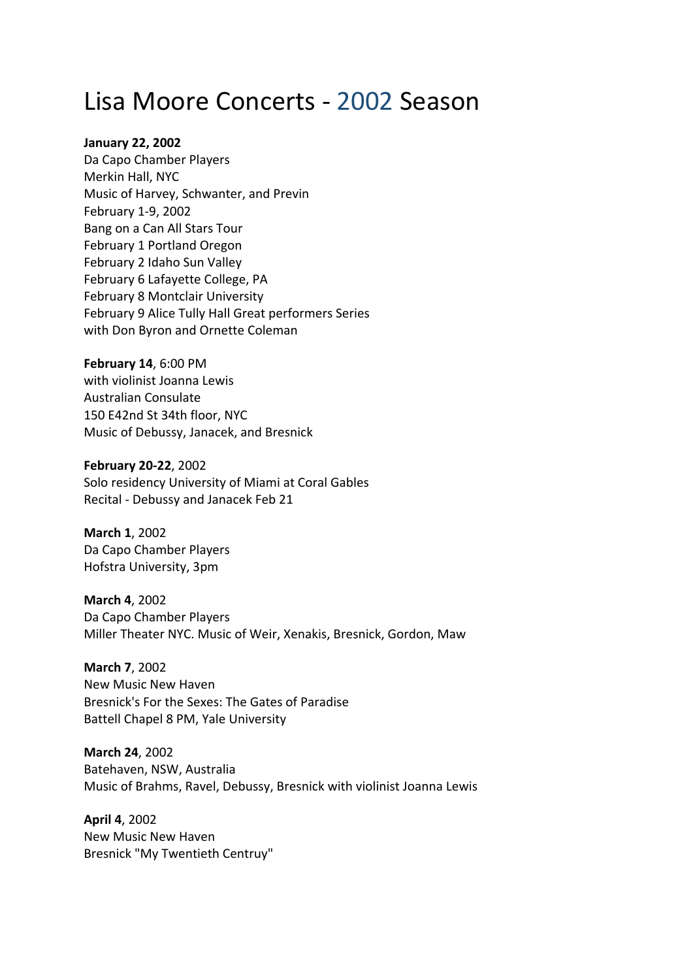## Lisa Moore Concerts ‐ 2002 Season

## **January 22, 2002**

Da Capo Chamber Players Merkin Hall, NYC Music of Harvey, Schwanter, and Previn February 1‐9, 2002 Bang on a Can All Stars Tour February 1 Portland Oregon February 2 Idaho Sun Valley February 6 Lafayette College, PA February 8 Montclair University February 9 Alice Tully Hall Great performers Series with Don Byron and Ornette Coleman

**February 14**, 6:00 PM with violinist Joanna Lewis Australian Consulate 150 E42nd St 34th floor, NYC Music of Debussy, Janacek, and Bresnick

**February 20‐22**, 2002 Solo residency University of Miami at Coral Gables Recital ‐ Debussy and Janacek Feb 21

**March 1**, 2002 Da Capo Chamber Players Hofstra University, 3pm

**March 4**, 2002 Da Capo Chamber Players Miller Theater NYC. Music of Weir, Xenakis, Bresnick, Gordon, Maw

**March 7**, 2002 New Music New Haven Bresnick's For the Sexes: The Gates of Paradise Battell Chapel 8 PM, Yale University

**March 24**, 2002 Batehaven, NSW, Australia Music of Brahms, Ravel, Debussy, Bresnick with violinist Joanna Lewis

**April 4**, 2002 New Music New Haven Bresnick "My Twentieth Centruy"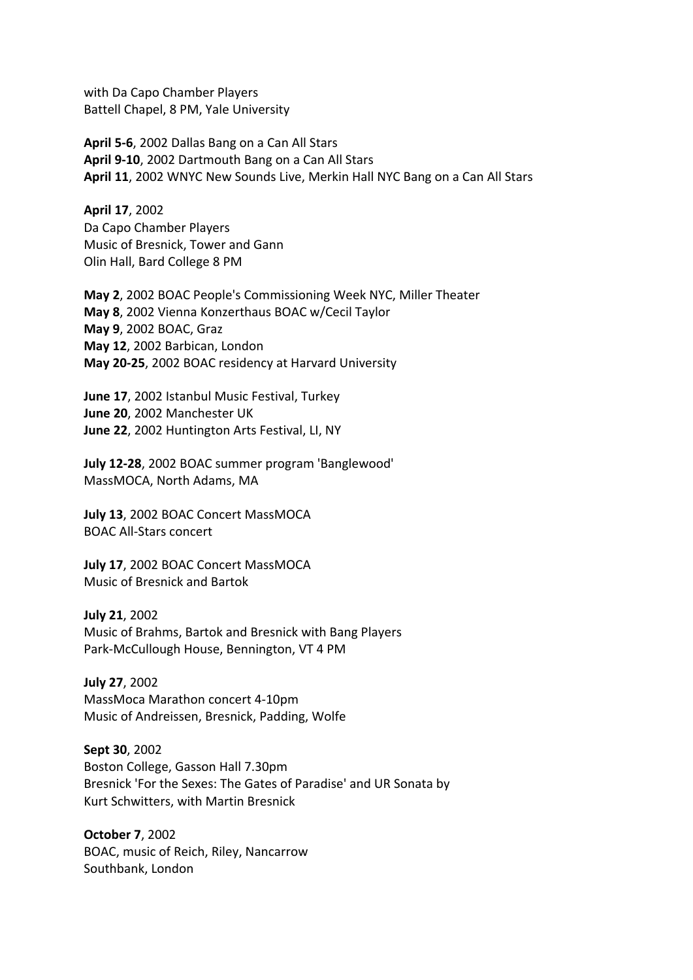with Da Capo Chamber Players Battell Chapel, 8 PM, Yale University

**April 5‐6**, 2002 Dallas Bang on a Can All Stars **April 9‐10**, 2002 Dartmouth Bang on a Can All Stars **April 11**, 2002 WNYC New Sounds Live, Merkin Hall NYC Bang on a Can All Stars

**April 17**, 2002 Da Capo Chamber Players Music of Bresnick, Tower and Gann Olin Hall, Bard College 8 PM

**May 2**, 2002 BOAC People's Commissioning Week NYC, Miller Theater **May 8**, 2002 Vienna Konzerthaus BOAC w/Cecil Taylor **May 9**, 2002 BOAC, Graz **May 12**, 2002 Barbican, London **May 20‐25**, 2002 BOAC residency at Harvard University

**June 17**, 2002 Istanbul Music Festival, Turkey **June 20**, 2002 Manchester UK **June 22**, 2002 Huntington Arts Festival, LI, NY

**July 12‐28**, 2002 BOAC summer program 'Banglewood' MassMOCA, North Adams, MA

**July 13**, 2002 BOAC Concert MassMOCA BOAC All‐Stars concert

**July 17**, 2002 BOAC Concert MassMOCA Music of Bresnick and Bartok

**July 21**, 2002 Music of Brahms, Bartok and Bresnick with Bang Players Park‐McCullough House, Bennington, VT 4 PM

**July 27**, 2002 MassMoca Marathon concert 4‐10pm Music of Andreissen, Bresnick, Padding, Wolfe

**Sept 30**, 2002 Boston College, Gasson Hall 7.30pm Bresnick 'For the Sexes: The Gates of Paradise' and UR Sonata by Kurt Schwitters, with Martin Bresnick

**October 7**, 2002 BOAC, music of Reich, Riley, Nancarrow Southbank, London